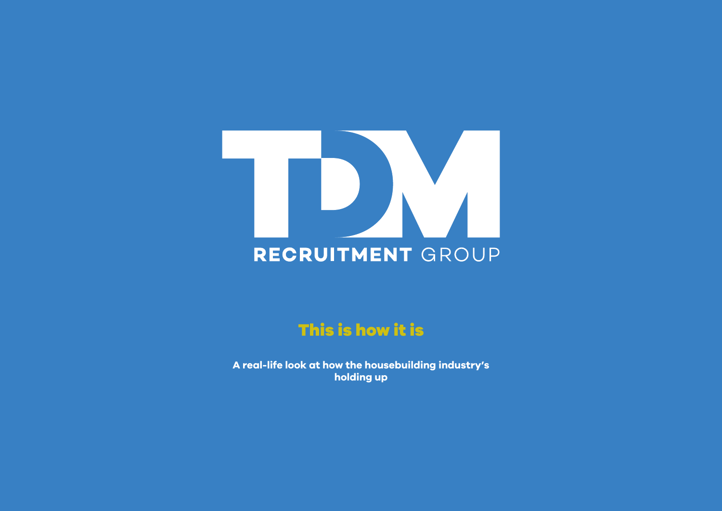# RECRUITMENT GROUP

# This is how it is

**A real-life look at how the housebuilding industry's holding up**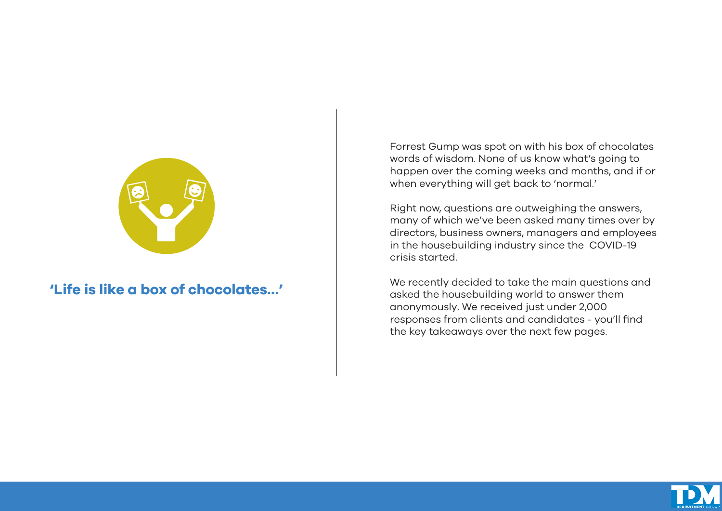

#### **'Life is like a box of chocolates…'**

Forrest Gump was spot on with his box of chocolates words of wisdom. None of us know what's going to happen over the coming weeks and months, and if or when everything will get back to 'normal.'

Right now, questions are outweighing the answers, many of which we've been asked many times over by directors, business owners, managers and employees in the housebuilding industry since the COVID-19 crisis started.

We recently decided to take the main questions and asked the housebuilding world to answer them anonymously. We received just under 2,000 responses from clients and candidates - you'll find the key takeaways over the next few pages.

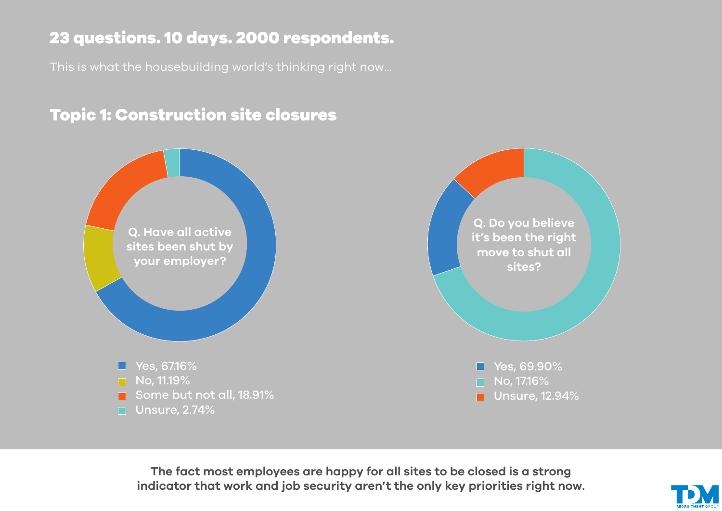# 23 questions. 10 days. 2000 respondents.

This is what the housebuilding world's thinking right now…

# Topic 1: Construction site closures



**The fact most employees are happy for all sites to be closed is a strong indicator that work and job security aren't the only key priorities right now.**

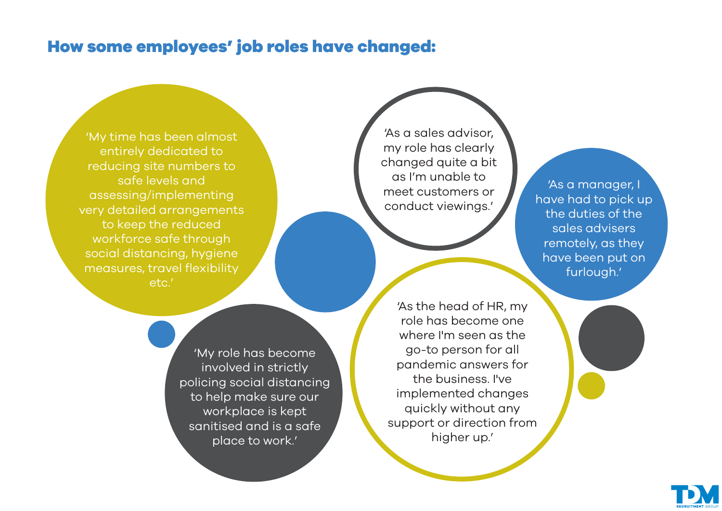#### How some employees' job roles have changed:

'My time has been almost entirely dedicated to reducing site numbers to safe levels and assessing/implementing very detailed arrangements to keep the reduced workforce safe through social distancing, hygiene measures, travel flexibility etc.'

> 'My role has become involved in strictly policing social distancing to help make sure our workplace is kept sanitised and is a safe place to work.'

'As a sales advisor, my role has clearly changed quite a bit as I'm unable to meet customers or conduct viewings.'

'As a manager, I have had to pick up the duties of the sales advisers remotely, as they have been put on furlough.'

'As the head of HR, my role has become one where I'm seen as the go-to person for all pandemic answers for the business. I've implemented changes quickly without any support or direction from higher up.'

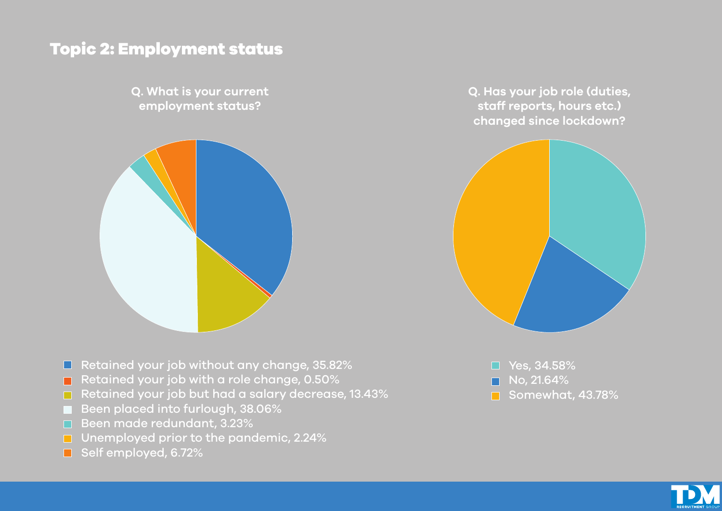## Topic 2: Employment status

**Q. What is your current employment status?**



**Q. Has your job role (duties, staff reports, hours etc.) changed since lockdown?**



- $\Box$  Retained your job without any change, 35.82%
- Retained your job with a role change,  $0.50\%$
- Retained your job but had a salary decrease, 13.43%
- Been placed into furlough, 38.06%
- Been made redundant, 3.23%
- **Unemployed prior to the pandemic, 2.24%**
- Self employed, 6.72%

□ Yes, 34.58% No, 21.64%  $\blacksquare$ Somewhat, 43.78%

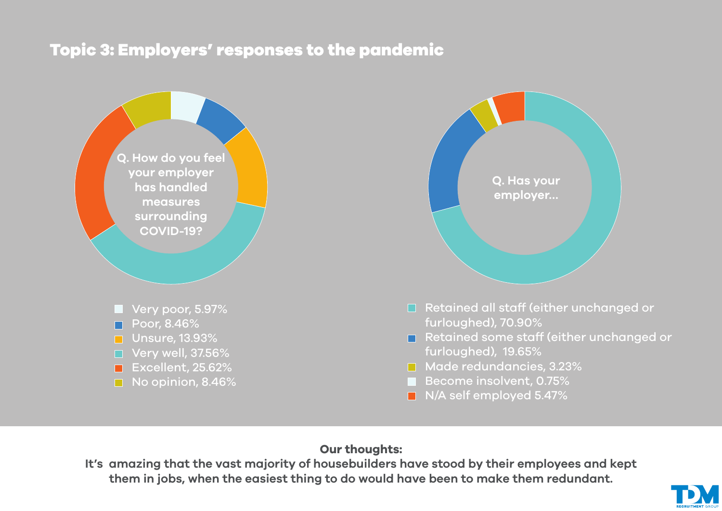## Topic 3: Employers' responses to the pandemic





- □ Retained all staff (either unchanged or furloughed), 70.90%
- Retained some staff (either unchanged or furloughed), 19.65%
- **Made redundancies, 3.23%**
- Become insolvent, 0.75%
- $\blacksquare$  N/A self employed 5.47%

#### **Our thoughts:**

**It's amazing that the vast majority of housebuilders have stood by their employees and kept them in jobs, when the easiest thing to do would have been to make them redundant.**

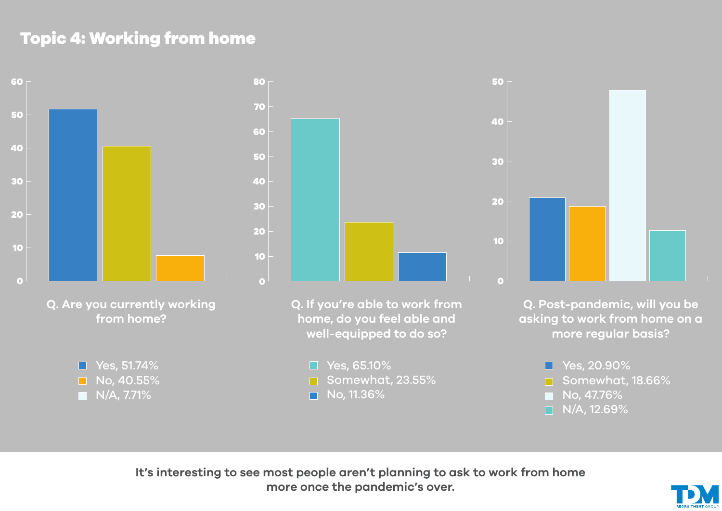# Topic 4: Working from home



**Q. Are you currently working from home?**





**Q. If you're able to work from home, do you feel able and well-equipped to do so?**

 $\Box$  Yes, 65.10% Somewhat, 23.55% No, 11.36%  $\blacksquare$ 



**Q. Post-pandemic, will you be asking to work from home on a more regular basis?**

> ■ Yes, 20.90% Somewhat, 18.66%  $\blacksquare$  No, 47.76%  $\Box$  N/A, 12.69%

**It's interesting to see most people aren't planning to ask to work from home more once the pandemic's over.**

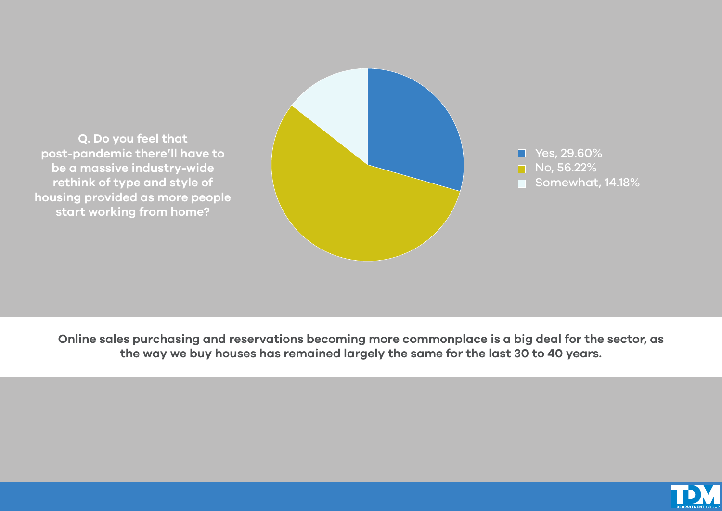

**Online sales purchasing and reservations becoming more commonplace is a big deal for the sector, as the way we buy houses has remained largely the same for the last 30 to 40 years.**

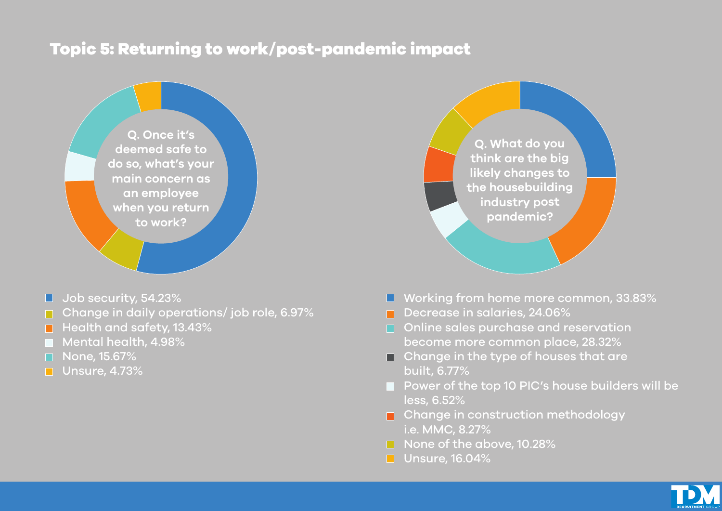#### Topic 5: Returning to work/post-pandemic impact



- **Job security, 54.23%**
- Change in daily operations/ job role, 6.97%
- $\blacksquare$  Health and safety, 13.43%
- Mental health, 4.98%
- □ None, 15.67%
- **Unsure, 4.73%**

**Q. What do you think are the big likely changes to the housebuilding industry post pandemic?**

- Working from home more common, 33.83%
- Decrease in salaries, 24.06%
- Online sales purchase and reservation become more common place, 28.32%
- $\Box$  Change in the type of houses that are built, 6.77%
- **Power of the top 10 PIC's house builders will be** less, 6.52%
- Change in construction methodology i.e. MMC, 8.27%
- None of the above, 10.28%
- **Unsure, 16.04%**

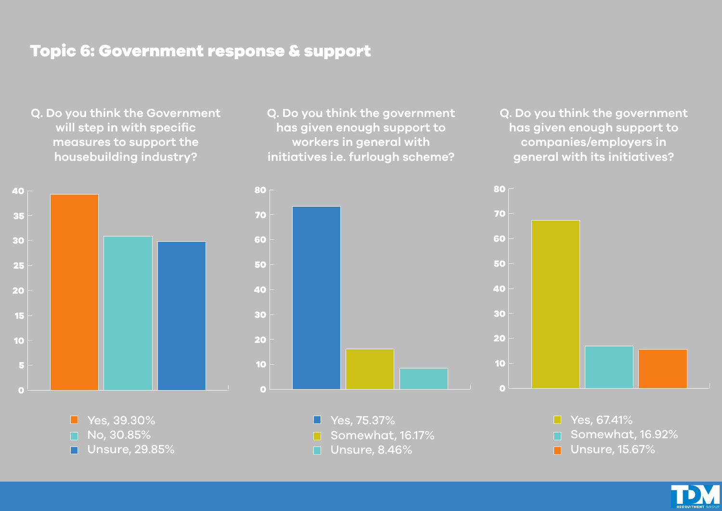## Topic 6: Government response & support

**Q. Do you think the Government will step in with specific measures to support the housebuilding industry?**



**Q. Do you think the government has given enough support to workers in general with initiatives i.e. furlough scheme?**

**Q. Do you think the government has given enough support to companies/employers in general with its initiatives?**



■ Yes, 39.30%  $\Box$  No, 30.85% Unsure, 29.85%  $\blacksquare$ 

Yes, 75.37%  $\blacksquare$ Somewhat, 16.17%  $\Box$  Unsure, 8.46%

 $\Box$  Yes, 67.41% Somewhat, 16.92% П

Unsure, 15.67%  $\blacksquare$